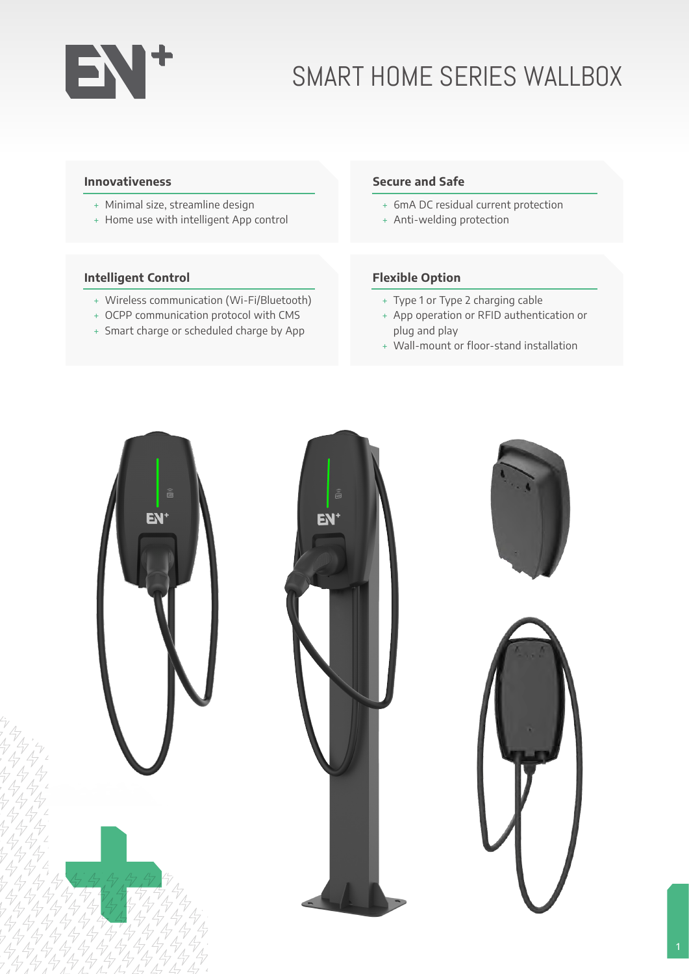# EN+

# SMART HOME SERIES WALLBOX

#### **Innovativeness**

- � Minimal size, streamline design
- � Home use with intelligent App control

## **Intelligent Control**

- � Wireless communication (Wi-Fi/Bluetooth)
- � OCPP communication protocol with CMS
- � Smart charge or scheduled charge by App

#### **Secure and Safe**

- � 6mA DC residual current protection
- + Anti-welding protection

## **Flexible Option**

- � Type 1 or Type 2 charging cable
- � App operation or RFID authentication or plug and play
- � Wall-mount or floor-stand installation